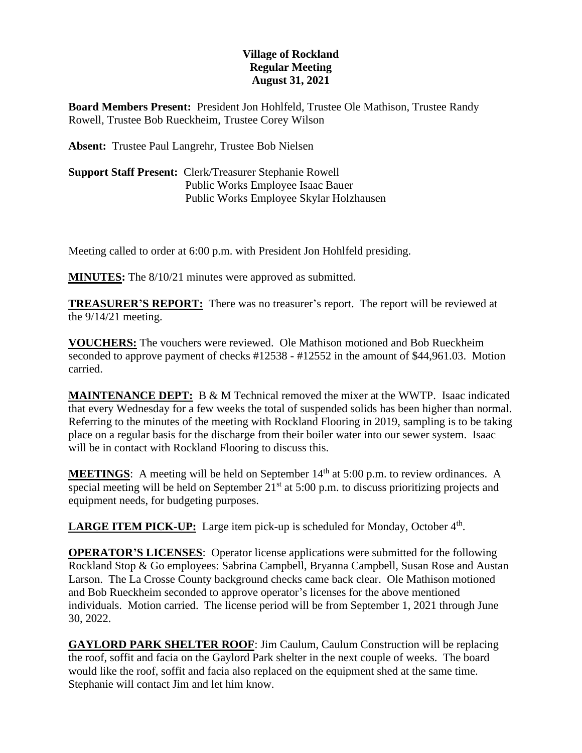## **Village of Rockland Regular Meeting August 31, 2021**

**Board Members Present:** President Jon Hohlfeld, Trustee Ole Mathison, Trustee Randy Rowell, Trustee Bob Rueckheim, Trustee Corey Wilson

**Absent:** Trustee Paul Langrehr, Trustee Bob Nielsen

**Support Staff Present:** Clerk/Treasurer Stephanie Rowell Public Works Employee Isaac Bauer Public Works Employee Skylar Holzhausen

Meeting called to order at 6:00 p.m. with President Jon Hohlfeld presiding.

**MINUTES:** The 8/10/21 minutes were approved as submitted.

**TREASURER'S REPORT:** There was no treasurer's report. The report will be reviewed at the 9/14/21 meeting.

**VOUCHERS:** The vouchers were reviewed. Ole Mathison motioned and Bob Rueckheim seconded to approve payment of checks #12538 - #12552 in the amount of \$44,961.03. Motion carried.

**MAINTENANCE DEPT:** B & M Technical removed the mixer at the WWTP. Isaac indicated that every Wednesday for a few weeks the total of suspended solids has been higher than normal. Referring to the minutes of the meeting with Rockland Flooring in 2019, sampling is to be taking place on a regular basis for the discharge from their boiler water into our sewer system. Isaac will be in contact with Rockland Flooring to discuss this.

**MEETINGS**: A meeting will be held on September  $14<sup>th</sup>$  at  $5:00$  p.m. to review ordinances. A special meeting will be held on September  $21<sup>st</sup>$  at 5:00 p.m. to discuss prioritizing projects and equipment needs, for budgeting purposes.

**LARGE ITEM PICK-UP:** Large item pick-up is scheduled for Monday, October 4<sup>th</sup>.

**OPERATOR'S LICENSES**: Operator license applications were submitted for the following Rockland Stop & Go employees: Sabrina Campbell, Bryanna Campbell, Susan Rose and Austan Larson. The La Crosse County background checks came back clear. Ole Mathison motioned and Bob Rueckheim seconded to approve operator's licenses for the above mentioned individuals. Motion carried. The license period will be from September 1, 2021 through June 30, 2022.

**GAYLORD PARK SHELTER ROOF**: Jim Caulum, Caulum Construction will be replacing the roof, soffit and facia on the Gaylord Park shelter in the next couple of weeks. The board would like the roof, soffit and facia also replaced on the equipment shed at the same time. Stephanie will contact Jim and let him know.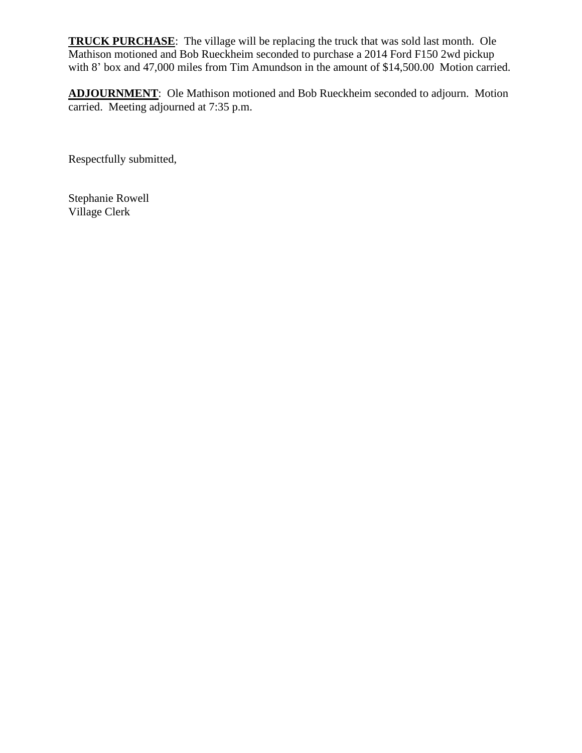**TRUCK PURCHASE**: The village will be replacing the truck that was sold last month. Ole Mathison motioned and Bob Rueckheim seconded to purchase a 2014 Ford F150 2wd pickup with 8' box and 47,000 miles from Tim Amundson in the amount of \$14,500.00 Motion carried.

**ADJOURNMENT**: Ole Mathison motioned and Bob Rueckheim seconded to adjourn. Motion carried. Meeting adjourned at 7:35 p.m.

Respectfully submitted,

Stephanie Rowell Village Clerk